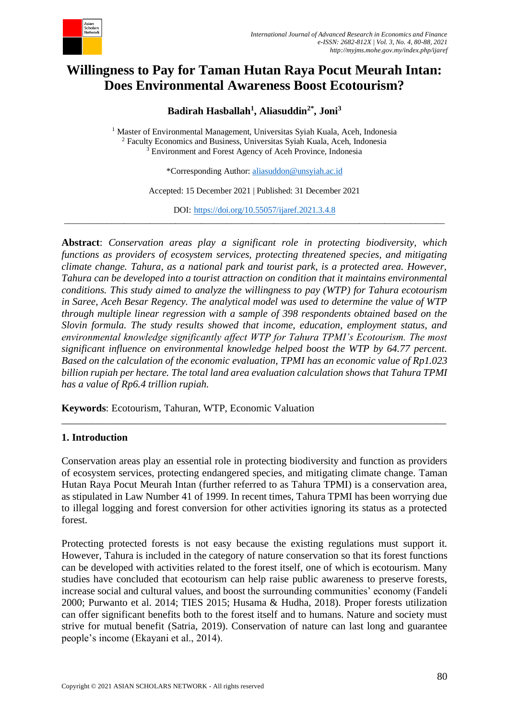

# **Willingness to Pay for Taman Hutan Raya Pocut Meurah Intan: Does Environmental Awareness Boost Ecotourism?**

**Badirah Hasballah<sup>1</sup> , Aliasuddin2\*, Joni<sup>3</sup>**

<sup>1</sup> Master of Environmental Management, Universitas Syiah Kuala, Aceh, Indonesia <sup>2</sup> Faculty Economics and Business, Universitas Syiah Kuala, Aceh, Indonesia <sup>3</sup> Environment and Forest Agency of Aceh Province, Indonesia

\*Corresponding Author: [aliasuddon@unsyiah.ac.id](mailto:aliasuddon@unsyiah.ac.id)

Accepted: 15 December 2021 | Published: 31 December 2021

DOI: <https://doi.org/10.55057/ijaref.2021.3.4.8> \_\_\_\_\_\_\_\_\_\_\_\_\_\_\_\_\_\_\_\_\_\_\_\_\_\_\_\_\_\_\_\_\_\_\_\_\_\_\_\_\_\_\_\_\_\_\_\_\_\_\_\_\_\_\_\_\_\_\_\_\_\_\_\_\_\_\_\_\_\_\_\_\_\_\_\_\_\_\_\_\_\_\_\_\_\_\_\_\_

**Abstract**: *Conservation areas play a significant role in protecting biodiversity, which functions as providers of ecosystem services, protecting threatened species, and mitigating climate change. Tahura, as a national park and tourist park, is a protected area. However, Tahura can be developed into a tourist attraction on condition that it maintains environmental conditions. This study aimed to analyze the willingness to pay (WTP) for Tahura ecotourism in Saree, Aceh Besar Regency. The analytical model was used to determine the value of WTP through multiple linear regression with a sample of 398 respondents obtained based on the Slovin formula. The study results showed that income, education, employment status, and environmental knowledge significantly affect WTP for Tahura TPMI's Ecotourism. The most significant influence on environmental knowledge helped boost the WTP by 64.77 percent. Based on the calculation of the economic evaluation, TPMI has an economic value of Rp1.023 billion rupiah per hectare. The total land area evaluation calculation shows that Tahura TPMI has a value of Rp6.4 trillion rupiah.*

**Keywords**: Ecotourism, Tahuran, WTP, Economic Valuation

### **1. Introduction**

Conservation areas play an essential role in protecting biodiversity and function as providers of ecosystem services, protecting endangered species, and mitigating climate change. Taman Hutan Raya Pocut Meurah Intan (further referred to as Tahura TPMI) is a conservation area, as stipulated in Law Number 41 of 1999. In recent times, Tahura TPMI has been worrying due to illegal logging and forest conversion for other activities ignoring its status as a protected forest.

\_\_\_\_\_\_\_\_\_\_\_\_\_\_\_\_\_\_\_\_\_\_\_\_\_\_\_\_\_\_\_\_\_\_\_\_\_\_\_\_\_\_\_\_\_\_\_\_\_\_\_\_\_\_\_\_\_\_\_\_\_\_\_\_\_\_\_\_\_\_\_\_\_\_\_

Protecting protected forests is not easy because the existing regulations must support it. However, Tahura is included in the category of nature conservation so that its forest functions can be developed with activities related to the forest itself, one of which is ecotourism. Many studies have concluded that ecotourism can help raise public awareness to preserve forests, increase social and cultural values, and boost the surrounding communities' economy (Fandeli 2000; Purwanto et al. 2014; TIES 2015; Husama & Hudha, 2018). Proper forests utilization can offer significant benefits both to the forest itself and to humans. Nature and society must strive for mutual benefit (Satria, 2019). Conservation of nature can last long and guarantee people's income (Ekayani et al., 2014).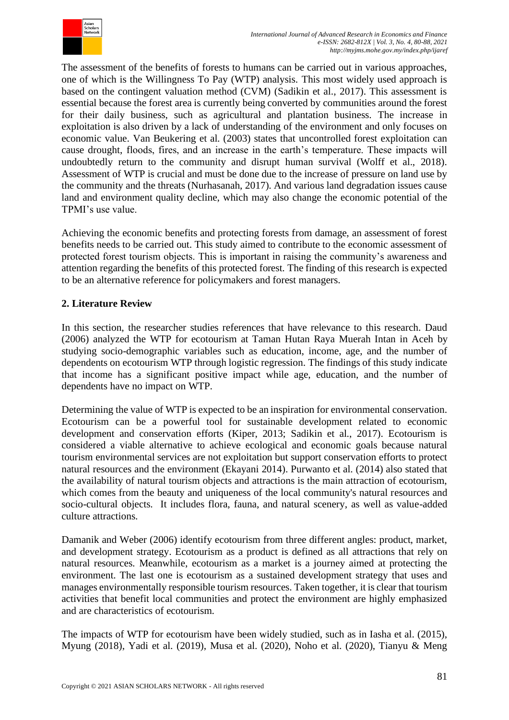

The assessment of the benefits of forests to humans can be carried out in various approaches, one of which is the Willingness To Pay (WTP) analysis. This most widely used approach is based on the contingent valuation method (CVM) (Sadikin et al., 2017). This assessment is essential because the forest area is currently being converted by communities around the forest for their daily business, such as agricultural and plantation business. The increase in exploitation is also driven by a lack of understanding of the environment and only focuses on economic value. Van Beukering et al. (2003) states that uncontrolled forest exploitation can cause drought, floods, fires, and an increase in the earth's temperature. These impacts will undoubtedly return to the community and disrupt human survival (Wolff et al., 2018). Assessment of WTP is crucial and must be done due to the increase of pressure on land use by the community and the threats (Nurhasanah, 2017). And various land degradation issues cause land and environment quality decline, which may also change the economic potential of the TPMI's use value.

Achieving the economic benefits and protecting forests from damage, an assessment of forest benefits needs to be carried out. This study aimed to contribute to the economic assessment of protected forest tourism objects. This is important in raising the community's awareness and attention regarding the benefits of this protected forest. The finding of this research is expected to be an alternative reference for policymakers and forest managers.

## **2. Literature Review**

In this section, the researcher studies references that have relevance to this research. Daud (2006) analyzed the WTP for ecotourism at Taman Hutan Raya Muerah Intan in Aceh by studying socio-demographic variables such as education, income, age, and the number of dependents on ecotourism WTP through logistic regression. The findings of this study indicate that income has a significant positive impact while age, education, and the number of dependents have no impact on WTP.

Determining the value of WTP is expected to be an inspiration for environmental conservation. Ecotourism can be a powerful tool for sustainable development related to economic development and conservation efforts (Kiper, 2013; Sadikin et al., 2017). Ecotourism is considered a viable alternative to achieve ecological and economic goals because natural tourism environmental services are not exploitation but support conservation efforts to protect natural resources and the environment (Ekayani 2014). Purwanto et al. (2014) also stated that the availability of natural tourism objects and attractions is the main attraction of ecotourism, which comes from the beauty and uniqueness of the local community's natural resources and socio-cultural objects. It includes flora, fauna, and natural scenery, as well as value-added culture attractions.

Damanik and Weber (2006) identify ecotourism from three different angles: product, market, and development strategy. Ecotourism as a product is defined as all attractions that rely on natural resources. Meanwhile, ecotourism as a market is a journey aimed at protecting the environment. The last one is ecotourism as a sustained development strategy that uses and manages environmentally responsible tourism resources. Taken together, it is clear that tourism activities that benefit local communities and protect the environment are highly emphasized and are characteristics of ecotourism.

The impacts of WTP for ecotourism have been widely studied, such as in Iasha et al. (2015), Myung (2018), Yadi et al. (2019), Musa et al. (2020), Noho et al. (2020), Tianyu & Meng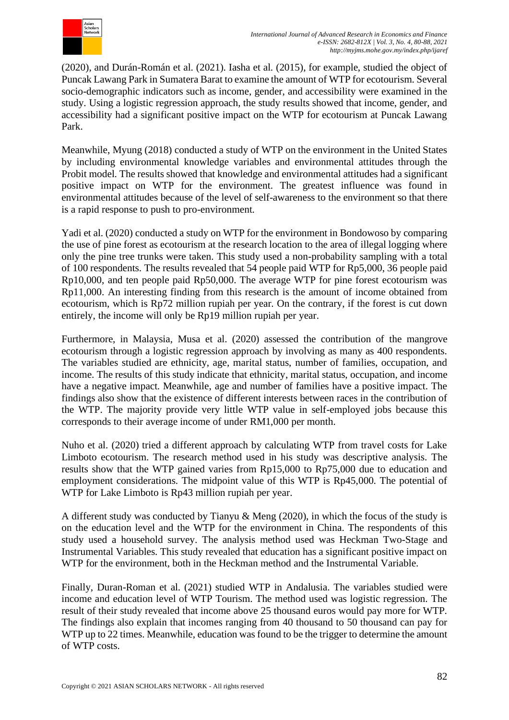

(2020), and Durán-Román et al. (2021). Iasha et al. (2015), for example, studied the object of Puncak Lawang Park in Sumatera Barat to examine the amount of WTP for ecotourism. Several socio-demographic indicators such as income, gender, and accessibility were examined in the study. Using a logistic regression approach, the study results showed that income, gender, and accessibility had a significant positive impact on the WTP for ecotourism at Puncak Lawang Park.

Meanwhile, Myung (2018) conducted a study of WTP on the environment in the United States by including environmental knowledge variables and environmental attitudes through the Probit model. The results showed that knowledge and environmental attitudes had a significant positive impact on WTP for the environment. The greatest influence was found in environmental attitudes because of the level of self-awareness to the environment so that there is a rapid response to push to pro-environment.

Yadi et al. (2020) conducted a study on WTP for the environment in Bondowoso by comparing the use of pine forest as ecotourism at the research location to the area of illegal logging where only the pine tree trunks were taken. This study used a non-probability sampling with a total of 100 respondents. The results revealed that 54 people paid WTP for Rp5,000, 36 people paid Rp10,000, and ten people paid Rp50,000. The average WTP for pine forest ecotourism was Rp11,000. An interesting finding from this research is the amount of income obtained from ecotourism, which is Rp72 million rupiah per year. On the contrary, if the forest is cut down entirely, the income will only be Rp19 million rupiah per year.

Furthermore, in Malaysia, Musa et al. (2020) assessed the contribution of the mangrove ecotourism through a logistic regression approach by involving as many as 400 respondents. The variables studied are ethnicity, age, marital status, number of families, occupation, and income. The results of this study indicate that ethnicity, marital status, occupation, and income have a negative impact. Meanwhile, age and number of families have a positive impact. The findings also show that the existence of different interests between races in the contribution of the WTP. The majority provide very little WTP value in self-employed jobs because this corresponds to their average income of under RM1,000 per month.

Nuho et al. (2020) tried a different approach by calculating WTP from travel costs for Lake Limboto ecotourism. The research method used in his study was descriptive analysis. The results show that the WTP gained varies from Rp15,000 to Rp75,000 due to education and employment considerations. The midpoint value of this WTP is Rp45,000. The potential of WTP for Lake Limboto is Rp43 million rupiah per year.

A different study was conducted by Tianyu & Meng (2020), in which the focus of the study is on the education level and the WTP for the environment in China. The respondents of this study used a household survey. The analysis method used was Heckman Two-Stage and Instrumental Variables. This study revealed that education has a significant positive impact on WTP for the environment, both in the Heckman method and the Instrumental Variable.

Finally, Duran-Roman et al. (2021) studied WTP in Andalusia. The variables studied were income and education level of WTP Tourism. The method used was logistic regression. The result of their study revealed that income above 25 thousand euros would pay more for WTP. The findings also explain that incomes ranging from 40 thousand to 50 thousand can pay for WTP up to 22 times. Meanwhile, education was found to be the trigger to determine the amount of WTP costs.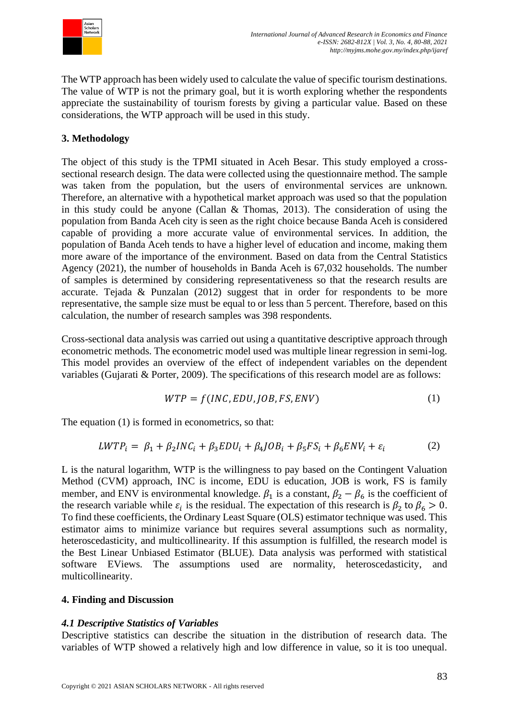

The WTP approach has been widely used to calculate the value of specific tourism destinations. The value of WTP is not the primary goal, but it is worth exploring whether the respondents appreciate the sustainability of tourism forests by giving a particular value. Based on these considerations, the WTP approach will be used in this study.

# **3. Methodology**

The object of this study is the TPMI situated in Aceh Besar. This study employed a crosssectional research design. The data were collected using the questionnaire method. The sample was taken from the population, but the users of environmental services are unknown. Therefore, an alternative with a hypothetical market approach was used so that the population in this study could be anyone (Callan & Thomas, 2013). The consideration of using the population from Banda Aceh city is seen as the right choice because Banda Aceh is considered capable of providing a more accurate value of environmental services. In addition, the population of Banda Aceh tends to have a higher level of education and income, making them more aware of the importance of the environment. Based on data from the Central Statistics Agency (2021), the number of households in Banda Aceh is 67,032 households. The number of samples is determined by considering representativeness so that the research results are accurate. Tejada & Punzalan (2012) suggest that in order for respondents to be more representative, the sample size must be equal to or less than 5 percent. Therefore, based on this calculation, the number of research samples was 398 respondents.

Cross-sectional data analysis was carried out using a quantitative descriptive approach through econometric methods. The econometric model used was multiple linear regression in semi-log. This model provides an overview of the effect of independent variables on the dependent variables (Gujarati & Porter, 2009). The specifications of this research model are as follows:

$$
WTP = f(INC, EDU, JOB, FS, ENV)
$$
 (1)

The equation (1) is formed in econometrics, so that:

$$
LWTP_i = \beta_1 + \beta_2 INC_i + \beta_3 EDU_i + \beta_4 JOB_i + \beta_5 FS_i + \beta_6 ENV_i + \varepsilon_i
$$
 (2)

L is the natural logarithm, WTP is the willingness to pay based on the Contingent Valuation Method (CVM) approach, INC is income, EDU is education, JOB is work, FS is family member, and ENV is environmental knowledge.  $\beta_1$  is a constant,  $\beta_2 - \beta_6$  is the coefficient of the research variable while  $\varepsilon_i$  is the residual. The expectation of this research is  $\beta_2$  to  $\beta_6 > 0$ . To find these coefficients, the Ordinary Least Square (OLS) estimator technique was used. This estimator aims to minimize variance but requires several assumptions such as normality, heteroscedasticity, and multicollinearity. If this assumption is fulfilled, the research model is the Best Linear Unbiased Estimator (BLUE). Data analysis was performed with statistical software EViews. The assumptions used are normality, heteroscedasticity, and multicollinearity.

## **4. Finding and Discussion**

## *4.1 Descriptive Statistics of Variables*

Descriptive statistics can describe the situation in the distribution of research data. The variables of WTP showed a relatively high and low difference in value, so it is too unequal.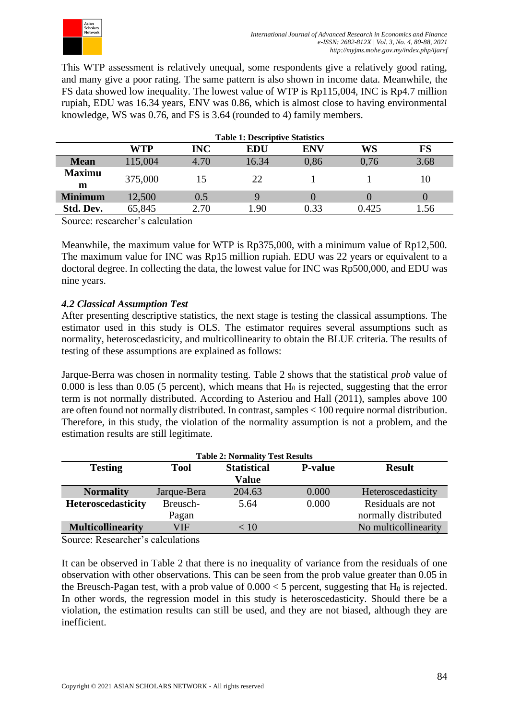

This WTP assessment is relatively unequal, some respondents give a relatively good rating, and many give a poor rating. The same pattern is also shown in income data. Meanwhile, the FS data showed low inequality. The lowest value of WTP is Rp115,004, INC is Rp4.7 million rupiah, EDU was 16.34 years, ENV was 0.86, which is almost close to having environmental knowledge, WS was 0.76, and FS is 3.64 (rounded to 4) family members.

|                    | <b>Table 1: Descriptive Statistics</b> |            |            |                  |       |      |  |
|--------------------|----------------------------------------|------------|------------|------------------|-------|------|--|
|                    | WTP                                    | <b>INC</b> | <b>EDU</b> | ENV              | WS    | FS   |  |
| <b>Mean</b>        | 115,004                                | 4.70       | 16.34      | 0,86             | 0,76  | 3.68 |  |
| <b>Maximu</b><br>m | 375,000                                | 15         | 22         |                  |       | 10   |  |
| <b>Minimum</b>     | 12,500                                 | 0.5        |            | $\left( \right)$ |       |      |  |
| Std. Dev.          | 65,845                                 | 2.70       | l.90       | 0.33             | 0.425 | 1.56 |  |

Source: researcher's calculation

Meanwhile, the maximum value for WTP is Rp375,000, with a minimum value of Rp12,500. The maximum value for INC was Rp15 million rupiah. EDU was 22 years or equivalent to a doctoral degree. In collecting the data, the lowest value for INC was Rp500,000, and EDU was nine years.

## *4.2 Classical Assumption Test*

After presenting descriptive statistics, the next stage is testing the classical assumptions. The estimator used in this study is OLS. The estimator requires several assumptions such as normality, heteroscedasticity, and multicollinearity to obtain the BLUE criteria. The results of testing of these assumptions are explained as follows:

Jarque-Berra was chosen in normality testing. Table 2 shows that the statistical *prob* value of 0.000 is less than 0.05 (5 percent), which means that  $H_0$  is rejected, suggesting that the error term is not normally distributed. According to Asteriou and Hall (2011), samples above 100 are often found not normally distributed. In contrast, samples < 100 require normal distribution. Therefore, in this study, the violation of the normality assumption is not a problem, and the estimation results are still legitimate.

| <b>Table 2: Normality Test Results</b> |             |                    |                |                      |  |  |  |  |  |
|----------------------------------------|-------------|--------------------|----------------|----------------------|--|--|--|--|--|
| <b>Testing</b>                         | <b>Tool</b> | <b>Statistical</b> | <b>P-value</b> | <b>Result</b>        |  |  |  |  |  |
|                                        |             | <b>Value</b>       |                |                      |  |  |  |  |  |
| <b>Normality</b>                       | Jarque-Bera | 204.63             | 0.000          | Heteroscedasticity   |  |  |  |  |  |
| <b>Heteroscedasticity</b>              | Breusch-    | 5.64               | 0.000          | Residuals are not    |  |  |  |  |  |
|                                        | Pagan       |                    |                | normally distributed |  |  |  |  |  |
| <b>Multicollinearity</b>               | VIF         | < 10               |                | No multicollinearity |  |  |  |  |  |

Source: Researcher's calculations

It can be observed in Table 2 that there is no inequality of variance from the residuals of one observation with other observations. This can be seen from the prob value greater than 0.05 in the Breusch-Pagan test, with a prob value of  $0.000 < 5$  percent, suggesting that H<sub>0</sub> is rejected. In other words, the regression model in this study is heteroscedasticity. Should there be a violation, the estimation results can still be used, and they are not biased, although they are inefficient.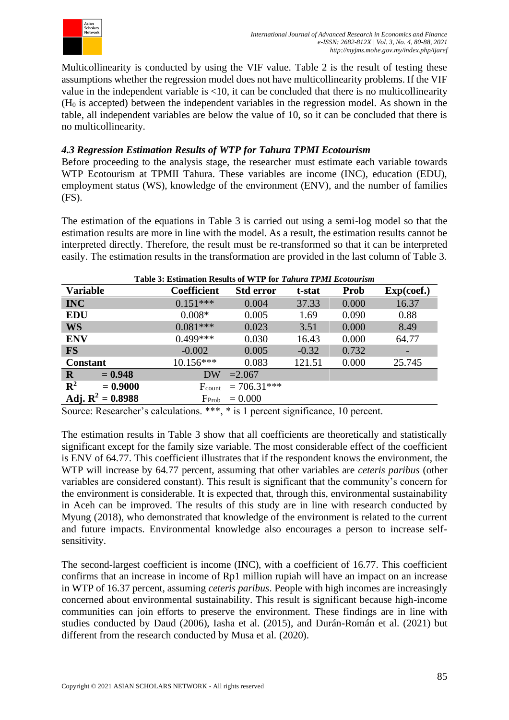

Multicollinearity is conducted by using the VIF value. Table 2 is the result of testing these assumptions whether the regression model does not have multicollinearity problems. If the VIF value in the independent variable is <10, it can be concluded that there is no multicollinearity (H<sup>0</sup> is accepted) between the independent variables in the regression model. As shown in the table, all independent variables are below the value of 10, so it can be concluded that there is no multicollinearity.

## *4.3 Regression Estimation Results of WTP for Tahura TPMI Ecotourism*

Before proceeding to the analysis stage, the researcher must estimate each variable towards WTP Ecotourism at TPMII Tahura. These variables are income (INC), education (EDU), employment status (WS), knowledge of the environment (ENV), and the number of families (FS).

The estimation of the equations in Table 3 is carried out using a semi-log model so that the estimation results are more in line with the model. As a result, the estimation results cannot be interpreted directly. Therefore, the result must be re-transformed so that it can be interpreted easily. The estimation results in the transformation are provided in the last column of Table 3.

| Table 3: Estimation Results of WTP for Tahura TPMI Ecotourism |                    |                  |         |             |            |  |  |
|---------------------------------------------------------------|--------------------|------------------|---------|-------------|------------|--|--|
| <b>Variable</b>                                               | <b>Coefficient</b> | <b>Std error</b> | t-stat  | <b>Prob</b> | Exp(coef.) |  |  |
| <b>INC</b>                                                    | $0.151***$         | 0.004            | 37.33   | 0.000       | 16.37      |  |  |
| <b>EDU</b>                                                    | $0.008*$           | 0.005            | 1.69    | 0.090       | 0.88       |  |  |
| <b>WS</b>                                                     | $0.081***$         | 0.023            | 3.51    | 0.000       | 8.49       |  |  |
| <b>ENV</b>                                                    | $0.499***$         | 0.030            | 16.43   | 0.000       | 64.77      |  |  |
| <b>FS</b>                                                     | $-0.002$           | 0.005            | $-0.32$ | 0.732       | -          |  |  |
| <b>Constant</b>                                               | $10.156***$        | 0.083            | 121.51  | 0.000       | 25.745     |  |  |
| $= 0.948$<br>$\mathbf R$                                      | <b>DW</b>          | $=2.067$         |         |             |            |  |  |
| $\mathbf{R}^2$<br>$= 0.9000$                                  | $F_{\text{count}}$ | $= 706.31***$    |         |             |            |  |  |
| Adj. $R^2 = 0.8988$                                           | F <sub>Prob</sub>  | $= 0.000$        |         |             |            |  |  |

Source: Researcher's calculations. \*\*\*, \* is 1 percent significance, 10 percent.

The estimation results in Table 3 show that all coefficients are theoretically and statistically significant except for the family size variable. The most considerable effect of the coefficient is ENV of 64.77. This coefficient illustrates that if the respondent knows the environment, the WTP will increase by 64.77 percent, assuming that other variables are *ceteris paribus* (other variables are considered constant). This result is significant that the community's concern for the environment is considerable. It is expected that, through this, environmental sustainability in Aceh can be improved. The results of this study are in line with research conducted by Myung (2018), who demonstrated that knowledge of the environment is related to the current and future impacts. Environmental knowledge also encourages a person to increase selfsensitivity.

The second-largest coefficient is income (INC), with a coefficient of 16.77. This coefficient confirms that an increase in income of Rp1 million rupiah will have an impact on an increase in WTP of 16.37 percent, assuming *ceteris paribus*. People with high incomes are increasingly concerned about environmental sustainability. This result is significant because high-income communities can join efforts to preserve the environment. These findings are in line with studies conducted by Daud (2006), Iasha et al. (2015), and Durán-Román et al. (2021) but different from the research conducted by Musa et al. (2020).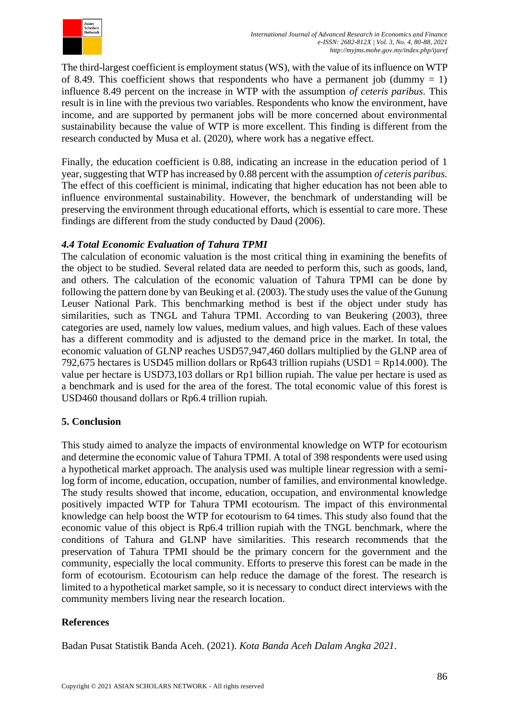

The third-largest coefficient is employment status (WS), with the value of its influence on WTP of 8.49. This coefficient shows that respondents who have a permanent job (dummy  $= 1$ ) influence 8.49 percent on the increase in WTP with the assumption *of ceteris paribus*. This result is in line with the previous two variables. Respondents who know the environment, have income, and are supported by permanent jobs will be more concerned about environmental sustainability because the value of WTP is more excellent. This finding is different from the research conducted by Musa et al. (2020), where work has a negative effect.

Finally, the education coefficient is 0.88, indicating an increase in the education period of 1 year, suggesting that WTP has increased by 0.88 percent with the assumption *of ceteris paribus*. The effect of this coefficient is minimal, indicating that higher education has not been able to influence environmental sustainability. However, the benchmark of understanding will be preserving the environment through educational efforts, which is essential to care more. These findings are different from the study conducted by Daud (2006).

## *4.4 Total Economic Evaluation of Tahura TPMI*

The calculation of economic valuation is the most critical thing in examining the benefits of the object to be studied. Several related data are needed to perform this, such as goods, land, and others. The calculation of the economic valuation of Tahura TPMI can be done by following the pattern done by van Beuking et al. (2003). The study uses the value of the Gunung Leuser National Park. This benchmarking method is best if the object under study has similarities, such as TNGL and Tahura TPMI. According to van Beukering (2003), three categories are used, namely low values, medium values, and high values. Each of these values has a different commodity and is adjusted to the demand price in the market. In total, the economic valuation of GLNP reaches USD57,947,460 dollars multiplied by the GLNP area of 792,675 hectares is USD45 million dollars or Rp643 trillion rupiahs (USD1 = Rp14.000). The value per hectare is USD73,103 dollars or Rp1 billion rupiah. The value per hectare is used as a benchmark and is used for the area of the forest. The total economic value of this forest is USD460 thousand dollars or Rp6.4 trillion rupiah.

### **5. Conclusion**

This study aimed to analyze the impacts of environmental knowledge on WTP for ecotourism and determine the economic value of Tahura TPMI. A total of 398 respondents were used using a hypothetical market approach. The analysis used was multiple linear regression with a semilog form of income, education, occupation, number of families, and environmental knowledge. The study results showed that income, education, occupation, and environmental knowledge positively impacted WTP for Tahura TPMI ecotourism. The impact of this environmental knowledge can help boost the WTP for ecotourism to 64 times. This study also found that the economic value of this object is Rp6.4 trillion rupiah with the TNGL benchmark, where the conditions of Tahura and GLNP have similarities. This research recommends that the preservation of Tahura TPMI should be the primary concern for the government and the community, especially the local community. Efforts to preserve this forest can be made in the form of ecotourism. Ecotourism can help reduce the damage of the forest. The research is limited to a hypothetical market sample, so it is necessary to conduct direct interviews with the community members living near the research location.

## **References**

Badan Pusat Statistik Banda Aceh. (2021). *Kota Banda Aceh Dalam Angka 2021*.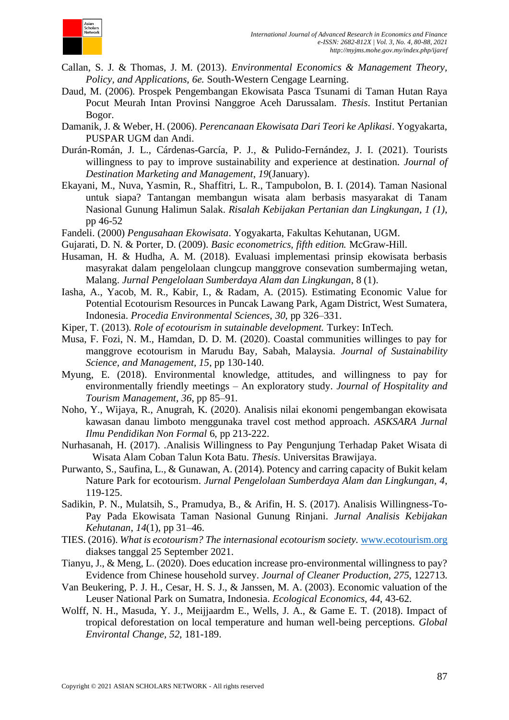

- Callan, S. J. & Thomas, J. M. (2013). *Environmental Economics & Management Theory, Policy, and Applications, 6e.* South-Western Cengage Learning.
- Daud, M. (2006). Prospek Pengembangan Ekowisata Pasca Tsunami di Taman Hutan Raya Pocut Meurah Intan Provinsi Nanggroe Aceh Darussalam. *Thesis*. Institut Pertanian Bogor.
- Damanik, J. & Weber, H. (2006). *Perencanaan Ekowisata Dari Teori ke Aplikasi*. Yogyakarta, PUSPAR UGM dan Andi.
- Durán-Román, J. L., Cárdenas-García, P. J., & Pulido-Fernández, J. I. (2021). Tourists willingness to pay to improve sustainability and experience at destination. *Journal of Destination Marketing and Management*, *19*(January).
- Ekayani, M., Nuva, Yasmin, R., Shaffitri, L. R., Tampubolon, B. I. (2014). Taman Nasional untuk siapa? Tantangan membangun wisata alam berbasis masyarakat di Tanam Nasional Gunung Halimun Salak. *Risalah Kebijakan Pertanian dan Lingkungan, 1 (1)*, pp 46-52
- Fandeli. (2000) *Pengusahaan Ekowisata*. Yogyakarta, Fakultas Kehutanan, UGM.
- Gujarati, D. N. & Porter, D. (2009). *Basic econometrics, fifth edition.* McGraw-Hill.
- Husaman, H. & Hudha, A. M. (2018). Evaluasi implementasi prinsip ekowisata berbasis masyrakat dalam pengelolaan clungcup manggrove consevation sumbermajing wetan, Malang. *Jurnal Pengelolaan Sumberdaya Alam dan Lingkungan*, 8 (1).
- Iasha, A., Yacob, M. R., Kabir, I., & Radam, A. (2015). Estimating Economic Value for Potential Ecotourism Resources in Puncak Lawang Park, Agam District, West Sumatera, Indonesia. *Procedia Environmental Sciences*, *30*, pp 326–331.
- Kiper, T. (2013). *Role of ecotourism in sutainable development.* Turkey: InTech.
- Musa, F. Fozi, N. M., Hamdan, D. D. M. (2020). Coastal communities willinges to pay for manggrove ecotourism in Marudu Bay, Sabah, Malaysia. *Journal of Sustainability Science, and Management, 15*, pp 130-140.
- Myung, E. (2018). Environmental knowledge, attitudes, and willingness to pay for environmentally friendly meetings – An exploratory study. *Journal of Hospitality and Tourism Management*, *36*, pp 85–91.
- Noho, Y., Wijaya, R., Anugrah, K. (2020). Analisis nilai ekonomi pengembangan ekowisata kawasan danau limboto menggunaka travel cost method approach. *ASKSARA Jurnal Ilmu Pendidikan Non Formal* 6, pp 213-222.
- Nurhasanah, H. (2017). .Analisis Willingness to Pay Pengunjung Terhadap Paket Wisata di Wisata Alam Coban Talun Kota Batu. *Thesis*. Universitas Brawijaya.
- Purwanto, S., Saufina, L., & Gunawan, A. (2014). Potency and carring capacity of Bukit kelam Nature Park for ecotourism. *Jurnal Pengelolaan Sumberdaya Alam dan Lingkungan, 4*, 119-125.
- Sadikin, P. N., Mulatsih, S., Pramudya, B., & Arifin, H. S. (2017). Analisis Willingness-To-Pay Pada Ekowisata Taman Nasional Gunung Rinjani. *Jurnal Analisis Kebijakan Kehutanan*, *14*(1), pp 31–46.
- TIES. (2016). *What is ecotourism? The internasional ecotourism society.* [www.ecotourism.org](http://www.ecotourism.org/) diakses tanggal 25 September 2021.
- Tianyu, J., & Meng, L. (2020). Does education increase pro-environmental willingness to pay? Evidence from Chinese household survey. *Journal of Cleaner Production*, *275*, 122713.
- Van Beukering, P. J. H., Cesar, H. S. J., & Janssen, M. A. (2003). Economic valuation of the Leuser National Park on Sumatra, Indonesia. *Ecological Economics, 44*, 43-62.
- Wolff, N. H., Masuda, Y. J., Meijjaardm E., Wells, J. A., & Game E. T. (2018). Impact of tropical deforestation on local temperature and human well-being perceptions. *Global Environtal Change, 52,* 181-189.